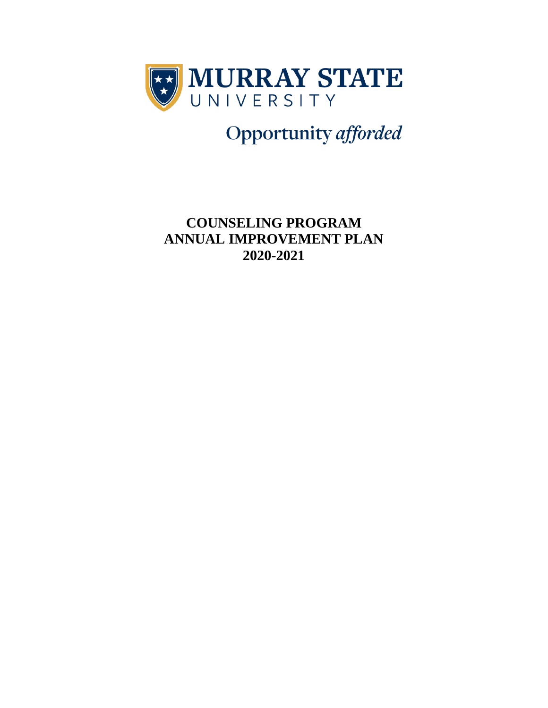

Opportunity afforded

**COUNSELING PROGRAM ANNUAL IMPROVEMENT PLAN 2020-2021**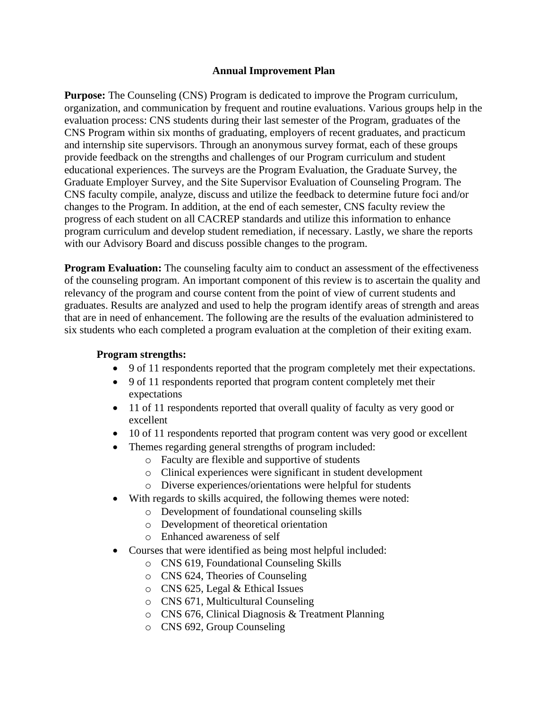### **Annual Improvement Plan**

**Purpose:** The Counseling (CNS) Program is dedicated to improve the Program curriculum, organization, and communication by frequent and routine evaluations. Various groups help in the evaluation process: CNS students during their last semester of the Program, graduates of the CNS Program within six months of graduating, employers of recent graduates, and practicum and internship site supervisors. Through an anonymous survey format, each of these groups provide feedback on the strengths and challenges of our Program curriculum and student educational experiences. The surveys are the Program Evaluation, the Graduate Survey, the Graduate Employer Survey, and the Site Supervisor Evaluation of Counseling Program. The CNS faculty compile, analyze, discuss and utilize the feedback to determine future foci and/or changes to the Program. In addition, at the end of each semester, CNS faculty review the progress of each student on all CACREP standards and utilize this information to enhance program curriculum and develop student remediation, if necessary. Lastly, we share the reports with our Advisory Board and discuss possible changes to the program.

**Program Evaluation:** The counseling faculty aim to conduct an assessment of the effectiveness of the counseling program. An important component of this review is to ascertain the quality and relevancy of the program and course content from the point of view of current students and graduates. Results are analyzed and used to help the program identify areas of strength and areas that are in need of enhancement. The following are the results of the evaluation administered to six students who each completed a program evaluation at the completion of their exiting exam.

### **Program strengths:**

- 9 of 11 respondents reported that the program completely met their expectations.
- 9 of 11 respondents reported that program content completely met their expectations
- 11 of 11 respondents reported that overall quality of faculty as very good or excellent
- 10 of 11 respondents reported that program content was very good or excellent
- Themes regarding general strengths of program included:
	- o Faculty are flexible and supportive of students
	- o Clinical experiences were significant in student development
	- o Diverse experiences/orientations were helpful for students
	- With regards to skills acquired, the following themes were noted:
		- o Development of foundational counseling skills
		- o Development of theoretical orientation
		- o Enhanced awareness of self
- Courses that were identified as being most helpful included:
	- o CNS 619, Foundational Counseling Skills
	- o CNS 624, Theories of Counseling
	- o CNS 625, Legal & Ethical Issues
	- o CNS 671, Multicultural Counseling
	- o CNS 676, Clinical Diagnosis & Treatment Planning
	- o CNS 692, Group Counseling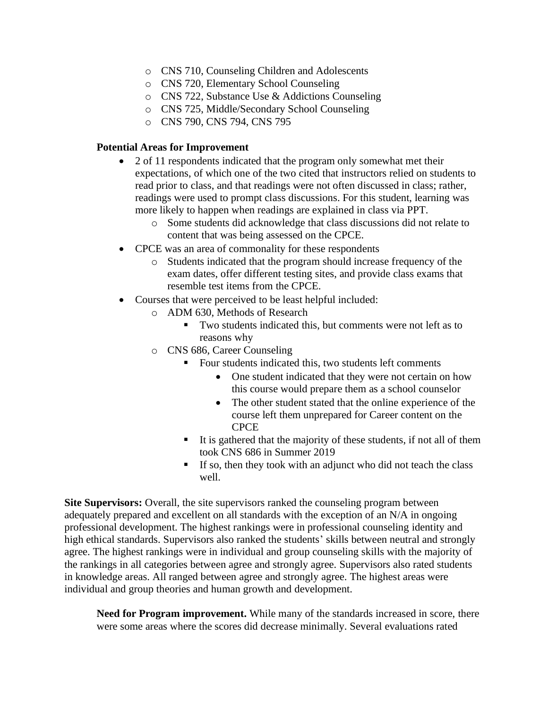- o CNS 710, Counseling Children and Adolescents
- o CNS 720, Elementary School Counseling
- o CNS 722, Substance Use & Addictions Counseling
- o CNS 725, Middle/Secondary School Counseling
- o CNS 790, CNS 794, CNS 795

#### **Potential Areas for Improvement**

- 2 of 11 respondents indicated that the program only somewhat met their expectations, of which one of the two cited that instructors relied on students to read prior to class, and that readings were not often discussed in class; rather, readings were used to prompt class discussions. For this student, learning was more likely to happen when readings are explained in class via PPT.
	- o Some students did acknowledge that class discussions did not relate to content that was being assessed on the CPCE.
- CPCE was an area of commonality for these respondents
	- o Students indicated that the program should increase frequency of the exam dates, offer different testing sites, and provide class exams that resemble test items from the CPCE.
- Courses that were perceived to be least helpful included:
	- o ADM 630, Methods of Research
		- Two students indicated this, but comments were not left as to reasons why
	- o CNS 686, Career Counseling
		- Four students indicated this, two students left comments
			- One student indicated that they were not certain on how this course would prepare them as a school counselor
			- The other student stated that the online experience of the course left them unprepared for Career content on the CPCE
		- It is gathered that the majority of these students, if not all of them took CNS 686 in Summer 2019
		- **If so, then they took with an adjunct who did not teach the class** well.

**Site Supervisors:** Overall, the site supervisors ranked the counseling program between adequately prepared and excellent on all standards with the exception of an N/A in ongoing professional development. The highest rankings were in professional counseling identity and high ethical standards. Supervisors also ranked the students' skills between neutral and strongly agree. The highest rankings were in individual and group counseling skills with the majority of the rankings in all categories between agree and strongly agree. Supervisors also rated students in knowledge areas. All ranged between agree and strongly agree. The highest areas were individual and group theories and human growth and development.

**Need for Program improvement.** While many of the standards increased in score, there were some areas where the scores did decrease minimally. Several evaluations rated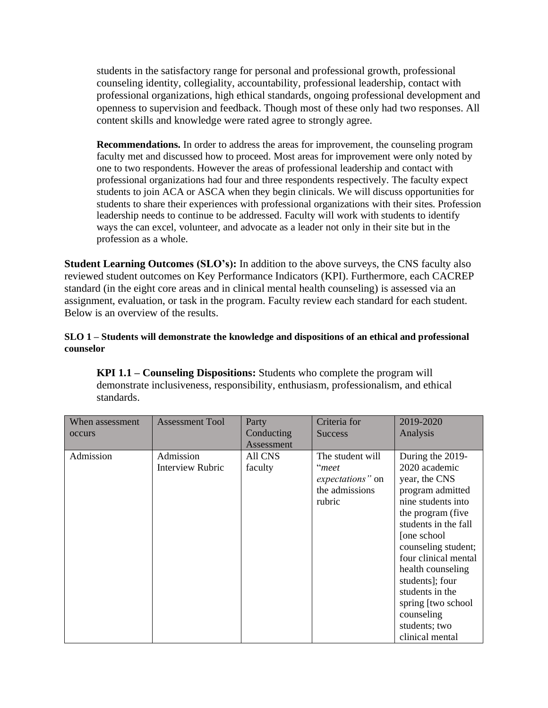students in the satisfactory range for personal and professional growth, professional counseling identity, collegiality, accountability, professional leadership, contact with professional organizations, high ethical standards, ongoing professional development and openness to supervision and feedback. Though most of these only had two responses. All content skills and knowledge were rated agree to strongly agree.

**Recommendations.** In order to address the areas for improvement, the counseling program faculty met and discussed how to proceed. Most areas for improvement were only noted by one to two respondents. However the areas of professional leadership and contact with professional organizations had four and three respondents respectively. The faculty expect students to join ACA or ASCA when they begin clinicals. We will discuss opportunities for students to share their experiences with professional organizations with their sites. Profession leadership needs to continue to be addressed. Faculty will work with students to identify ways the can excel, volunteer, and advocate as a leader not only in their site but in the profession as a whole.

**Student Learning Outcomes (SLO's):** In addition to the above surveys, the CNS faculty also reviewed student outcomes on Key Performance Indicators (KPI). Furthermore, each CACREP standard (in the eight core areas and in clinical mental health counseling) is assessed via an assignment, evaluation, or task in the program. Faculty review each standard for each student. Below is an overview of the results.

### **SLO 1 – Students will demonstrate the knowledge and dispositions of an ethical and professional counselor**

**KPI 1.1 – Counseling Dispositions:** Students who complete the program will demonstrate inclusiveness, responsibility, enthusiasm, professionalism, and ethical standards.

| When assessment<br>occurs | <b>Assessment Tool</b>        | Party<br>Conducting<br>Assessment | Criteria for<br><b>Success</b>                                            | 2019-2020<br>Analysis                                                                                                                                                                                                                                                                                                                        |
|---------------------------|-------------------------------|-----------------------------------|---------------------------------------------------------------------------|----------------------------------------------------------------------------------------------------------------------------------------------------------------------------------------------------------------------------------------------------------------------------------------------------------------------------------------------|
| Admission                 | Admission<br>Interview Rubric | <b>All CNS</b><br>faculty         | The student will<br>"meet<br>expectations" on<br>the admissions<br>rubric | During the 2019-<br>2020 academic<br>year, the CNS<br>program admitted<br>nine students into<br>the program (five<br>students in the fall<br>[one school]<br>counseling student;<br>four clinical mental<br>health counseling<br>students]; four<br>students in the<br>spring [two school]<br>counseling<br>students; two<br>clinical mental |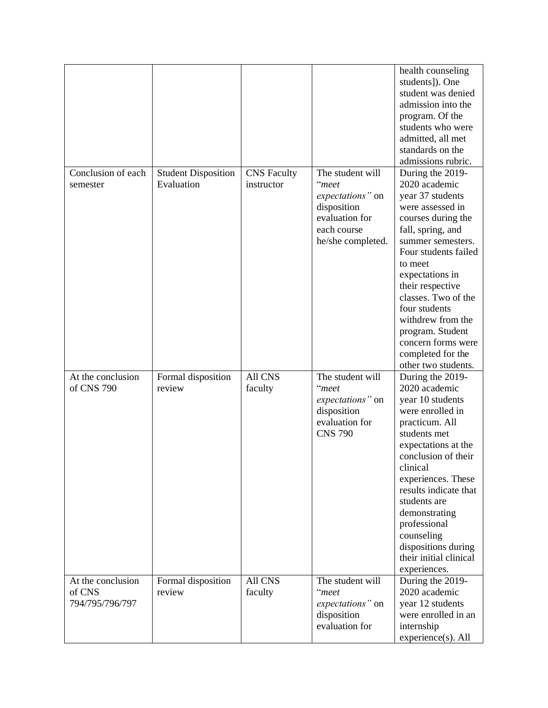|                                                |                                          |                                  |                                                                                                                    | health counseling<br>students]). One<br>student was denied<br>admission into the<br>program. Of the<br>students who were<br>admitted, all met<br>standards on the<br>admissions rubric.                                                                                                                                                                                |
|------------------------------------------------|------------------------------------------|----------------------------------|--------------------------------------------------------------------------------------------------------------------|------------------------------------------------------------------------------------------------------------------------------------------------------------------------------------------------------------------------------------------------------------------------------------------------------------------------------------------------------------------------|
| Conclusion of each<br>semester                 | <b>Student Disposition</b><br>Evaluation | <b>CNS</b> Faculty<br>instructor | The student will<br>"meet<br>expectations" on<br>disposition<br>evaluation for<br>each course<br>he/she completed. | During the 2019-<br>2020 academic<br>year 37 students<br>were assessed in<br>courses during the<br>fall, spring, and<br>summer semesters.<br>Four students failed<br>to meet<br>expectations in<br>their respective<br>classes. Two of the<br>four students<br>withdrew from the<br>program. Student<br>concern forms were<br>completed for the<br>other two students. |
| At the conclusion<br>of CNS 790                | Formal disposition<br>review             | All CNS<br>faculty               | The student will<br>"meet<br>expectations" on<br>disposition<br>evaluation for<br><b>CNS 790</b>                   | During the 2019-<br>2020 academic<br>year 10 students<br>were enrolled in<br>practicum. All<br>students met<br>expectations at the<br>conclusion of their<br>clinical<br>experiences. These<br>results indicate that<br>students are<br>demonstrating<br>professional<br>counseling<br>dispositions during<br>their initial clinical<br>experiences.                   |
| At the conclusion<br>of CNS<br>794/795/796/797 | Formal disposition<br>review             | <b>All CNS</b><br>faculty        | The student will<br>"meet<br>expectations" on<br>disposition<br>evaluation for                                     | During the 2019-<br>2020 academic<br>year 12 students<br>were enrolled in an<br>internship<br>experience(s). All                                                                                                                                                                                                                                                       |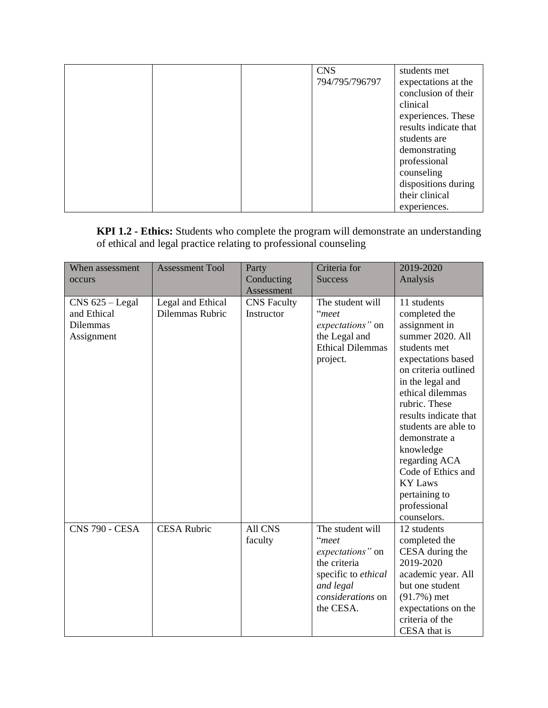|  | <b>CNS</b>     | students met          |
|--|----------------|-----------------------|
|  | 794/795/796797 |                       |
|  |                | expectations at the   |
|  |                | conclusion of their   |
|  |                | clinical              |
|  |                | experiences. These    |
|  |                | results indicate that |
|  |                | students are          |
|  |                | demonstrating         |
|  |                | professional          |
|  |                | counseling            |
|  |                | dispositions during   |
|  |                | their clinical        |
|  |                | experiences.          |

**KPI 1.2 - Ethics:** Students who complete the program will demonstrate an understanding of ethical and legal practice relating to professional counseling

| When assessment<br>occurs                                         | <b>Assessment Tool</b>               | Party<br>Conducting<br>Assessment | Criteria for<br><b>Success</b>                                                                                                      | 2019-2020<br>Analysis                                                                                                                                                                                                                                                                                                                                                            |
|-------------------------------------------------------------------|--------------------------------------|-----------------------------------|-------------------------------------------------------------------------------------------------------------------------------------|----------------------------------------------------------------------------------------------------------------------------------------------------------------------------------------------------------------------------------------------------------------------------------------------------------------------------------------------------------------------------------|
| $CNS$ 625 – Legal<br>and Ethical<br><b>Dilemmas</b><br>Assignment | Legal and Ethical<br>Dilemmas Rubric | <b>CNS</b> Faculty<br>Instructor  | The student will<br>"meet<br>expectations" on<br>the Legal and<br><b>Ethical Dilemmas</b><br>project.                               | 11 students<br>completed the<br>assignment in<br>summer 2020. All<br>students met<br>expectations based<br>on criteria outlined<br>in the legal and<br>ethical dilemmas<br>rubric. These<br>results indicate that<br>students are able to<br>demonstrate a<br>knowledge<br>regarding ACA<br>Code of Ethics and<br><b>KY Laws</b><br>pertaining to<br>professional<br>counselors. |
| <b>CNS 790 - CESA</b>                                             | <b>CESA Rubric</b>                   | <b>All CNS</b><br>faculty         | The student will<br>"meet<br>expectations" on<br>the criteria<br>specific to ethical<br>and legal<br>considerations on<br>the CESA. | 12 students<br>completed the<br>CESA during the<br>2019-2020<br>academic year. All<br>but one student<br>$(91.7%)$ met<br>expectations on the<br>criteria of the<br>CESA that is                                                                                                                                                                                                 |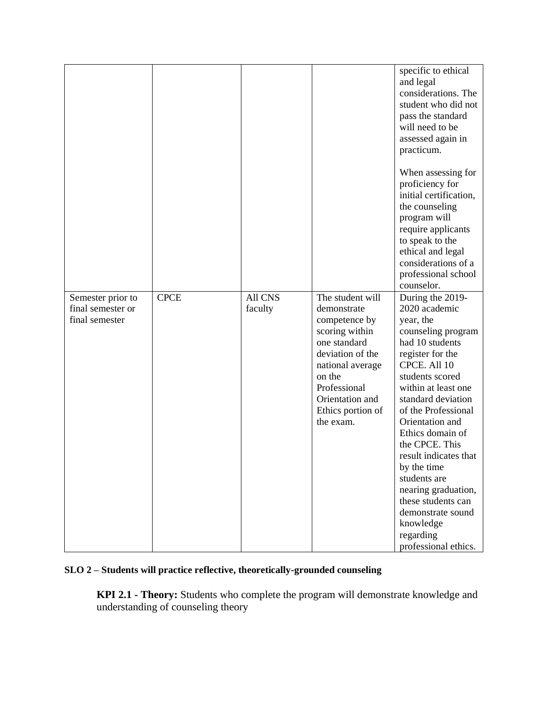|                                                          |             |                    |                                                                                                                                                                                                           | specific to ethical<br>and legal<br>considerations. The<br>student who did not<br>pass the standard<br>will need to be<br>assessed again in<br>practicum.<br>When assessing for                                                                                                                                                                                                                                                                         |
|----------------------------------------------------------|-------------|--------------------|-----------------------------------------------------------------------------------------------------------------------------------------------------------------------------------------------------------|---------------------------------------------------------------------------------------------------------------------------------------------------------------------------------------------------------------------------------------------------------------------------------------------------------------------------------------------------------------------------------------------------------------------------------------------------------|
|                                                          |             |                    |                                                                                                                                                                                                           | proficiency for<br>initial certification,<br>the counseling<br>program will<br>require applicants<br>to speak to the<br>ethical and legal<br>considerations of a<br>professional school<br>counselor.                                                                                                                                                                                                                                                   |
| Semester prior to<br>final semester or<br>final semester | <b>CPCE</b> | All CNS<br>faculty | The student will<br>demonstrate<br>competence by<br>scoring within<br>one standard<br>deviation of the<br>national average<br>on the<br>Professional<br>Orientation and<br>Ethics portion of<br>the exam. | During the 2019-<br>2020 academic<br>year, the<br>counseling program<br>had 10 students<br>register for the<br>CPCE. All 10<br>students scored<br>within at least one<br>standard deviation<br>of the Professional<br>Orientation and<br>Ethics domain of<br>the CPCE. This<br>result indicates that<br>by the time<br>students are<br>nearing graduation,<br>these students can<br>demonstrate sound<br>knowledge<br>regarding<br>professional ethics. |

# **SLO 2 – Students will practice reflective, theoretically-grounded counseling**

**KPI 2.1 - Theory:** Students who complete the program will demonstrate knowledge and understanding of counseling theory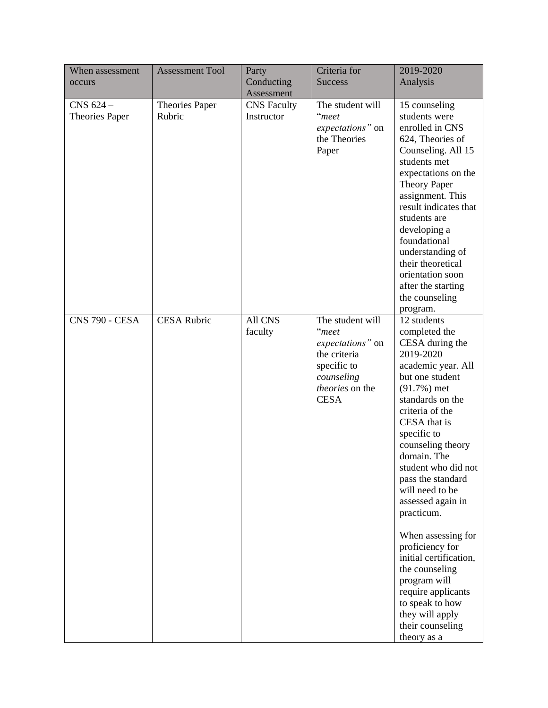| When assessment<br>occurs   | <b>Assessment Tool</b>          | Party<br>Conducting              | Criteria for<br><b>Success</b>                                                                                               | 2019-2020<br>Analysis                                                                                                                                                                                                                                                                                                                                                                                                                                                                                                                  |
|-----------------------------|---------------------------------|----------------------------------|------------------------------------------------------------------------------------------------------------------------------|----------------------------------------------------------------------------------------------------------------------------------------------------------------------------------------------------------------------------------------------------------------------------------------------------------------------------------------------------------------------------------------------------------------------------------------------------------------------------------------------------------------------------------------|
|                             |                                 | Assessment                       |                                                                                                                              |                                                                                                                                                                                                                                                                                                                                                                                                                                                                                                                                        |
| CNS 624 -<br>Theories Paper | <b>Theories Paper</b><br>Rubric | <b>CNS</b> Faculty<br>Instructor | The student will<br>"meet<br>expectations" on<br>the Theories<br>Paper                                                       | 15 counseling<br>students were<br>enrolled in CNS<br>624, Theories of<br>Counseling. All 15<br>students met<br>expectations on the<br><b>Theory Paper</b><br>assignment. This<br>result indicates that<br>students are<br>developing a<br>foundational<br>understanding of<br>their theoretical<br>orientation soon<br>after the starting<br>the counseling<br>program.                                                                                                                                                                |
| <b>CNS 790 - CESA</b>       | <b>CESA Rubric</b>              | All CNS<br>faculty               | The student will<br>"meet<br>expectations" on<br>the criteria<br>specific to<br>counseling<br>theories on the<br><b>CESA</b> | 12 students<br>completed the<br>CESA during the<br>2019-2020<br>academic year. All<br>but one student<br>$(91.7%)$ met<br>standards on the<br>criteria of the<br>CESA that is<br>specific to<br>counseling theory<br>domain. The<br>student who did not<br>pass the standard<br>will need to be<br>assessed again in<br>practicum.<br>When assessing for<br>proficiency for<br>initial certification,<br>the counseling<br>program will<br>require applicants<br>to speak to how<br>they will apply<br>their counseling<br>theory as a |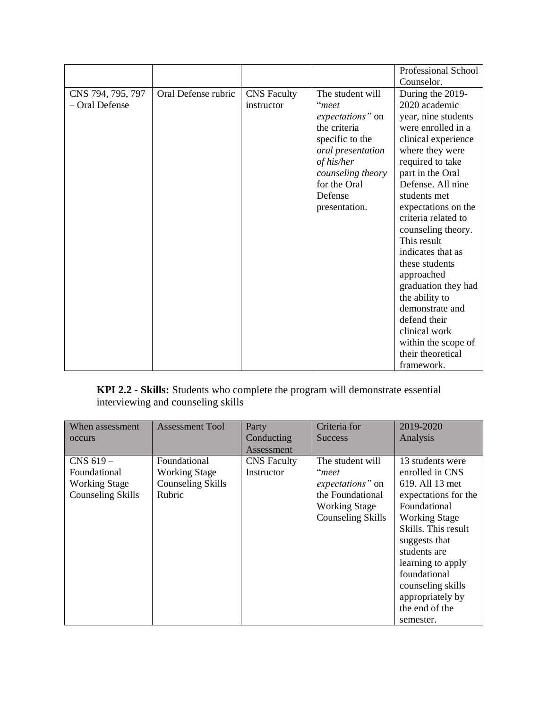|                   |                     |                    |                   | Professional School |
|-------------------|---------------------|--------------------|-------------------|---------------------|
|                   |                     |                    |                   | Counselor.          |
| CNS 794, 795, 797 | Oral Defense rubric | <b>CNS</b> Faculty | The student will  | During the 2019-    |
| - Oral Defense    |                     | instructor         | "meet             | 2020 academic       |
|                   |                     |                    | expectations" on  | year, nine students |
|                   |                     |                    | the criteria      | were enrolled in a  |
|                   |                     |                    | specific to the   | clinical experience |
|                   |                     |                    | oral presentation | where they were     |
|                   |                     |                    | of his/her        | required to take    |
|                   |                     |                    | counseling theory | part in the Oral    |
|                   |                     |                    | for the Oral      | Defense. All nine   |
|                   |                     |                    | Defense           | students met        |
|                   |                     |                    | presentation.     | expectations on the |
|                   |                     |                    |                   | criteria related to |
|                   |                     |                    |                   | counseling theory.  |
|                   |                     |                    |                   | This result         |
|                   |                     |                    |                   | indicates that as   |
|                   |                     |                    |                   | these students      |
|                   |                     |                    |                   | approached          |
|                   |                     |                    |                   | graduation they had |
|                   |                     |                    |                   | the ability to      |
|                   |                     |                    |                   | demonstrate and     |
|                   |                     |                    |                   | defend their        |
|                   |                     |                    |                   | clinical work       |
|                   |                     |                    |                   | within the scope of |
|                   |                     |                    |                   | their theoretical   |
|                   |                     |                    |                   | framework.          |

**KPI 2.2 - Skills:** Students who complete the program will demonstrate essential interviewing and counseling skills

| When assessment      | <b>Assessment Tool</b> | Party              | Criteria for         | 2019-2020            |
|----------------------|------------------------|--------------------|----------------------|----------------------|
| occurs               |                        | Conducting         | <b>Success</b>       | Analysis             |
|                      |                        | Assessment         |                      |                      |
| $CNS$ 619 $-$        | Foundational           | <b>CNS</b> Faculty | The student will     | 13 students were     |
| Foundational         | <b>Working Stage</b>   | Instructor         | "meet                | enrolled in CNS      |
| <b>Working Stage</b> | Counseling Skills      |                    | expectations" on     | 619. All 13 met      |
| Counseling Skills    | Rubric                 |                    | the Foundational     | expectations for the |
|                      |                        |                    | <b>Working Stage</b> | Foundational         |
|                      |                        |                    | Counseling Skills    | <b>Working Stage</b> |
|                      |                        |                    |                      | Skills. This result  |
|                      |                        |                    |                      | suggests that        |
|                      |                        |                    |                      | students are         |
|                      |                        |                    |                      | learning to apply    |
|                      |                        |                    |                      | foundational         |
|                      |                        |                    |                      | counseling skills    |
|                      |                        |                    |                      | appropriately by     |
|                      |                        |                    |                      | the end of the       |
|                      |                        |                    |                      | semester.            |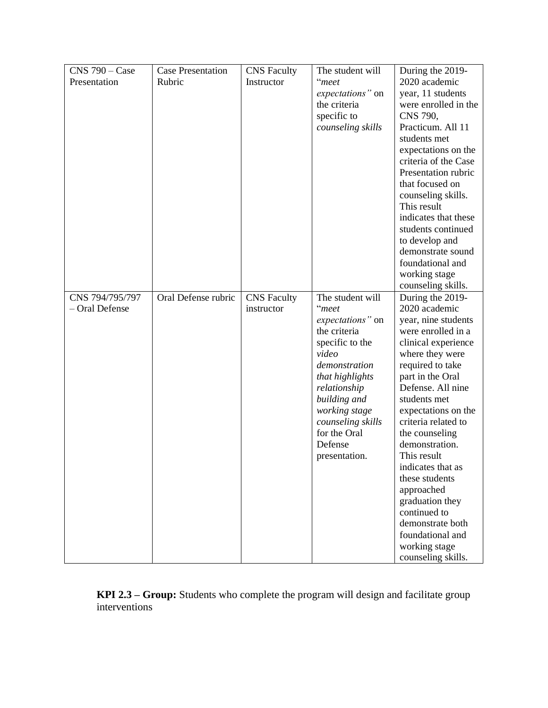| $CNS$ 790 – Case |                                    |                    | The student will         |                      |
|------------------|------------------------------------|--------------------|--------------------------|----------------------|
| Presentation     | <b>Case Presentation</b><br>Rubric | <b>CNS</b> Faculty | "meet                    | During the 2019-     |
|                  |                                    | Instructor         |                          | 2020 academic        |
|                  |                                    |                    | expectations" on         | year, 11 students    |
|                  |                                    |                    | the criteria             | were enrolled in the |
|                  |                                    |                    | specific to              | CNS 790,             |
|                  |                                    |                    | counseling skills        | Practicum. All 11    |
|                  |                                    |                    |                          | students met         |
|                  |                                    |                    |                          | expectations on the  |
|                  |                                    |                    |                          | criteria of the Case |
|                  |                                    |                    |                          | Presentation rubric  |
|                  |                                    |                    |                          | that focused on      |
|                  |                                    |                    |                          | counseling skills.   |
|                  |                                    |                    |                          | This result          |
|                  |                                    |                    |                          | indicates that these |
|                  |                                    |                    |                          | students continued   |
|                  |                                    |                    |                          | to develop and       |
|                  |                                    |                    |                          | demonstrate sound    |
|                  |                                    |                    |                          | foundational and     |
|                  |                                    |                    |                          | working stage        |
|                  |                                    |                    |                          | counseling skills.   |
| CNS 794/795/797  | Oral Defense rubric                | <b>CNS</b> Faculty | The student will         | During the 2019-     |
| - Oral Defense   |                                    | instructor         | "meet                    | 2020 academic        |
|                  |                                    |                    | expectations" on         | year, nine students  |
|                  |                                    |                    | the criteria             | were enrolled in a   |
|                  |                                    |                    |                          |                      |
|                  |                                    |                    | specific to the<br>video | clinical experience  |
|                  |                                    |                    |                          | where they were      |
|                  |                                    |                    | demonstration            | required to take     |
|                  |                                    |                    | that highlights          | part in the Oral     |
|                  |                                    |                    | relationship             | Defense. All nine    |
|                  |                                    |                    | building and             | students met         |
|                  |                                    |                    | working stage            | expectations on the  |
|                  |                                    |                    | counseling skills        | criteria related to  |
|                  |                                    |                    | for the Oral             | the counseling       |
|                  |                                    |                    | Defense                  | demonstration.       |
|                  |                                    |                    | presentation.            | This result          |
|                  |                                    |                    |                          | indicates that as    |
|                  |                                    |                    |                          | these students       |
|                  |                                    |                    |                          | approached           |
|                  |                                    |                    |                          | graduation they      |
|                  |                                    |                    |                          | continued to         |
|                  |                                    |                    |                          | demonstrate both     |
|                  |                                    |                    |                          | foundational and     |
|                  |                                    |                    |                          | working stage        |
|                  |                                    |                    |                          | counseling skills.   |

**KPI 2.3 – Group:** Students who complete the program will design and facilitate group interventions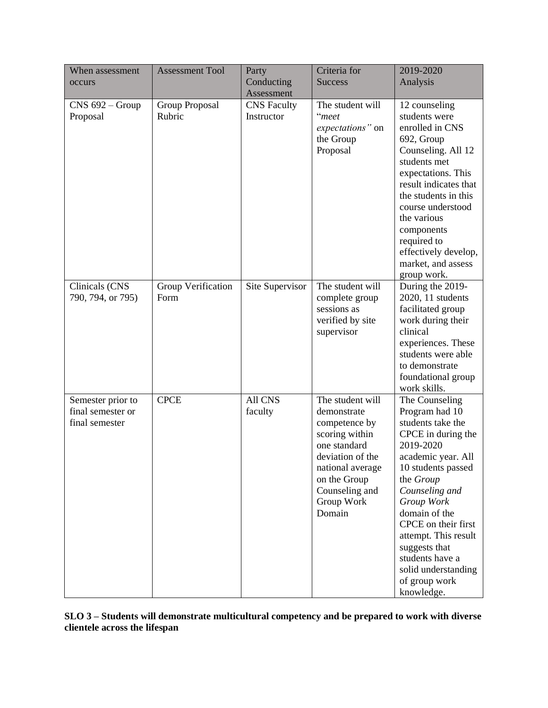| When assessment<br>occurs                                | <b>Assessment Tool</b>     | Party<br>Conducting<br>Assessment | Criteria for<br><b>Success</b>                                                                                                                                                       | 2019-2020<br>Analysis                                                                                                                                                                                                                                                                                                                       |
|----------------------------------------------------------|----------------------------|-----------------------------------|--------------------------------------------------------------------------------------------------------------------------------------------------------------------------------------|---------------------------------------------------------------------------------------------------------------------------------------------------------------------------------------------------------------------------------------------------------------------------------------------------------------------------------------------|
| $CNS$ 692 – Group<br>Proposal                            | Group Proposal<br>Rubric   | <b>CNS</b> Faculty<br>Instructor  | The student will<br>"meet<br>expectations" on<br>the Group<br>Proposal                                                                                                               | 12 counseling<br>students were<br>enrolled in CNS<br>692, Group<br>Counseling. All 12<br>students met<br>expectations. This<br>result indicates that<br>the students in this<br>course understood<br>the various<br>components<br>required to<br>effectively develop,<br>market, and assess<br>group work.                                  |
| Clinicals (CNS<br>790, 794, or 795)                      | Group Verification<br>Form | Site Supervisor                   | The student will<br>complete group<br>sessions as<br>verified by site<br>supervisor                                                                                                  | During the 2019-<br>2020, 11 students<br>facilitated group<br>work during their<br>clinical<br>experiences. These<br>students were able<br>to demonstrate<br>foundational group<br>work skills.                                                                                                                                             |
| Semester prior to<br>final semester or<br>final semester | <b>CPCE</b>                | All CNS<br>faculty                | The student will<br>demonstrate<br>competence by<br>scoring within<br>one standard<br>deviation of the<br>national average<br>on the Group<br>Counseling and<br>Group Work<br>Domain | The Counseling<br>Program had 10<br>students take the<br>CPCE in during the<br>2019-2020<br>academic year. All<br>10 students passed<br>the Group<br>Counseling and<br>Group Work<br>domain of the<br>CPCE on their first<br>attempt. This result<br>suggests that<br>students have a<br>solid understanding<br>of group work<br>knowledge. |

**SLO 3 – Students will demonstrate multicultural competency and be prepared to work with diverse clientele across the lifespan**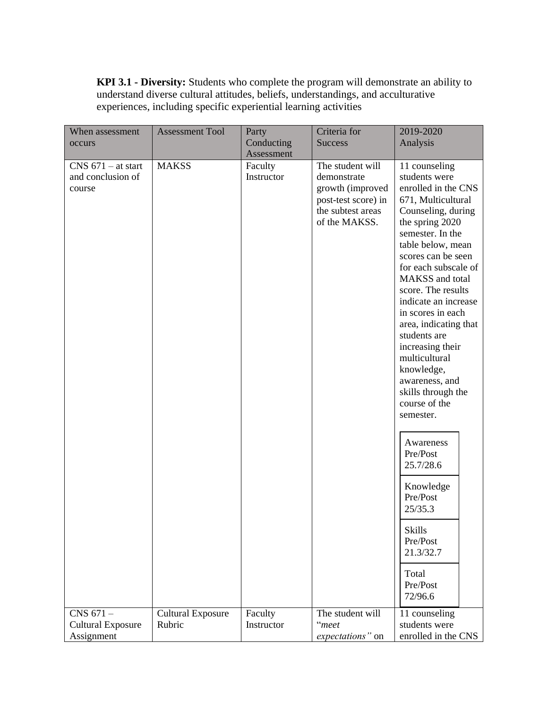**KPI 3.1 - Diversity:** Students who complete the program will demonstrate an ability to understand diverse cultural attitudes, beliefs, understandings, and acculturative experiences, including specific experiential learning activities

| When assessment          | <b>Assessment Tool</b>   | Party      | Criteria for        | 2019-2020                           |
|--------------------------|--------------------------|------------|---------------------|-------------------------------------|
| occurs                   |                          | Conducting | <b>Success</b>      | Analysis                            |
|                          |                          | Assessment |                     |                                     |
| $CNS$ 671 – at start     | <b>MAKSS</b>             | Faculty    | The student will    | 11 counseling                       |
| and conclusion of        |                          | Instructor | demonstrate         | students were                       |
| course                   |                          |            | growth (improved    | enrolled in the CNS                 |
|                          |                          |            | post-test score) in | 671, Multicultural                  |
|                          |                          |            | the subtest areas   | Counseling, during                  |
|                          |                          |            | of the MAKSS.       | the spring 2020                     |
|                          |                          |            |                     | semester. In the                    |
|                          |                          |            |                     | table below, mean                   |
|                          |                          |            |                     | scores can be seen                  |
|                          |                          |            |                     | for each subscale of                |
|                          |                          |            |                     | MAKSS and total                     |
|                          |                          |            |                     | score. The results                  |
|                          |                          |            |                     | indicate an increase                |
|                          |                          |            |                     | in scores in each                   |
|                          |                          |            |                     | area, indicating that               |
|                          |                          |            |                     | students are                        |
|                          |                          |            |                     | increasing their                    |
|                          |                          |            |                     | multicultural                       |
|                          |                          |            |                     | knowledge,                          |
|                          |                          |            |                     | awareness, and                      |
|                          |                          |            |                     | skills through the<br>course of the |
|                          |                          |            |                     |                                     |
|                          |                          |            |                     | semester.                           |
|                          |                          |            |                     |                                     |
|                          |                          |            |                     | Awareness                           |
|                          |                          |            |                     | Pre/Post                            |
|                          |                          |            |                     | 25.7/28.6                           |
|                          |                          |            |                     | Knowledge                           |
|                          |                          |            |                     | Pre/Post                            |
|                          |                          |            |                     | 25/35.3                             |
|                          |                          |            |                     | <b>Skills</b>                       |
|                          |                          |            |                     | Pre/Post                            |
|                          |                          |            |                     | 21.3/32.7                           |
|                          |                          |            |                     |                                     |
|                          |                          |            |                     | Total                               |
|                          |                          |            |                     | Pre/Post                            |
|                          |                          |            |                     | 72/96.6                             |
| CNS 671-                 | <b>Cultural Exposure</b> | Faculty    | The student will    | 11 counseling                       |
| <b>Cultural Exposure</b> | Rubric                   | Instructor | "meet               | students were                       |
| Assignment               |                          |            | expectations" on    | enrolled in the CNS                 |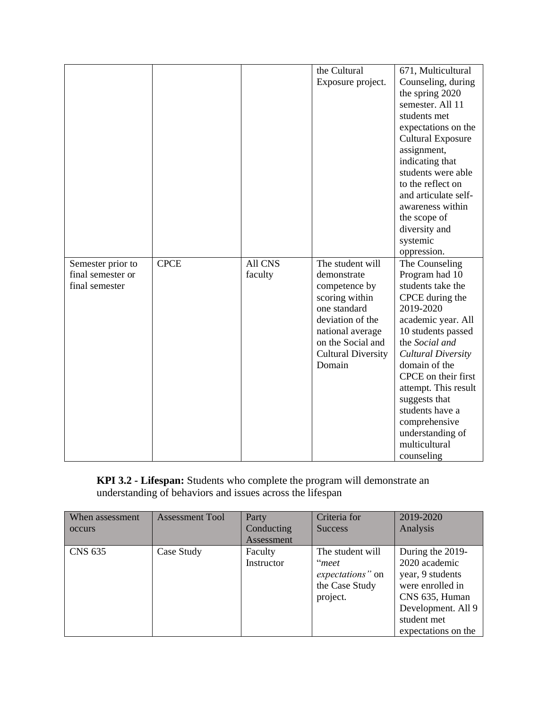|                   |             |                | the Cultural              | 671, Multicultural       |
|-------------------|-------------|----------------|---------------------------|--------------------------|
|                   |             |                | Exposure project.         | Counseling, during       |
|                   |             |                |                           | the spring 2020          |
|                   |             |                |                           | semester. All 11         |
|                   |             |                |                           | students met             |
|                   |             |                |                           | expectations on the      |
|                   |             |                |                           | <b>Cultural Exposure</b> |
|                   |             |                |                           | assignment,              |
|                   |             |                |                           | indicating that          |
|                   |             |                |                           | students were able       |
|                   |             |                |                           | to the reflect on        |
|                   |             |                |                           | and articulate self-     |
|                   |             |                |                           | awareness within         |
|                   |             |                |                           | the scope of             |
|                   |             |                |                           | diversity and            |
|                   |             |                |                           | systemic                 |
|                   |             |                |                           | oppression.              |
| Semester prior to | <b>CPCE</b> | <b>All CNS</b> | The student will          | The Counseling           |
| final semester or |             | faculty        | demonstrate               | Program had 10           |
| final semester    |             |                | competence by             | students take the        |
|                   |             |                | scoring within            | CPCE during the          |
|                   |             |                | one standard              | 2019-2020                |
|                   |             |                | deviation of the          | academic year. All       |
|                   |             |                | national average          | 10 students passed       |
|                   |             |                | on the Social and         | the Social and           |
|                   |             |                | <b>Cultural Diversity</b> | Cultural Diversity       |
|                   |             |                | Domain                    | domain of the            |
|                   |             |                |                           | CPCE on their first      |
|                   |             |                |                           | attempt. This result     |
|                   |             |                |                           | suggests that            |
|                   |             |                |                           | students have a          |
|                   |             |                |                           | comprehensive            |
|                   |             |                |                           | understanding of         |
|                   |             |                |                           | multicultural            |
|                   |             |                |                           | counseling               |

**KPI 3.2 - Lifespan:** Students who complete the program will demonstrate an understanding of behaviors and issues across the lifespan

| When assessment | <b>Assessment Tool</b> | Party      | Criteria for     | 2019-2020           |
|-----------------|------------------------|------------|------------------|---------------------|
| occurs          |                        | Conducting | <b>Success</b>   | Analysis            |
|                 |                        | Assessment |                  |                     |
| <b>CNS 635</b>  | Case Study             | Faculty    | The student will | During the 2019-    |
|                 |                        | Instructor | "meet            | 2020 academic       |
|                 |                        |            | expectations" on | year, 9 students    |
|                 |                        |            | the Case Study   | were enrolled in    |
|                 |                        |            | project.         | CNS 635, Human      |
|                 |                        |            |                  | Development. All 9  |
|                 |                        |            |                  | student met         |
|                 |                        |            |                  | expectations on the |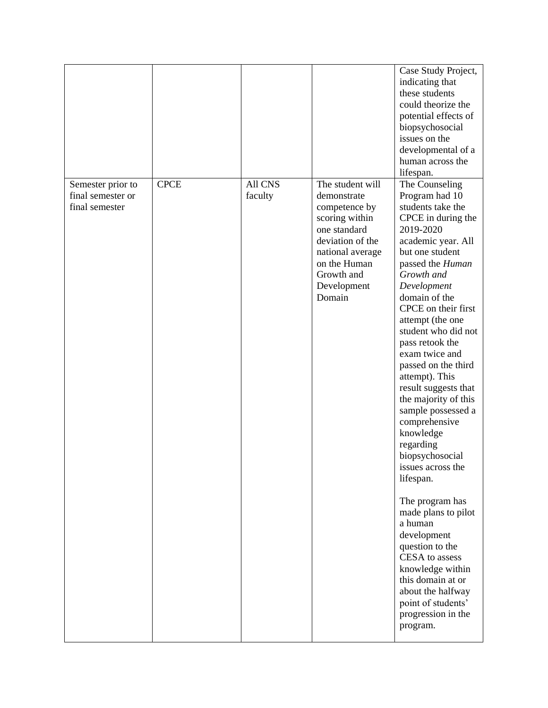|                                                          |             |                           |                                                                                                                                                                                   | Case Study Project,<br>indicating that<br>these students<br>could theorize the<br>potential effects of<br>biopsychosocial<br>issues on the<br>developmental of a<br>human across the<br>lifespan.                                                                                                                                                                                                                                                                                                                                                                                                                                                                                                                                                        |
|----------------------------------------------------------|-------------|---------------------------|-----------------------------------------------------------------------------------------------------------------------------------------------------------------------------------|----------------------------------------------------------------------------------------------------------------------------------------------------------------------------------------------------------------------------------------------------------------------------------------------------------------------------------------------------------------------------------------------------------------------------------------------------------------------------------------------------------------------------------------------------------------------------------------------------------------------------------------------------------------------------------------------------------------------------------------------------------|
| Semester prior to<br>final semester or<br>final semester | <b>CPCE</b> | <b>All CNS</b><br>faculty | The student will<br>demonstrate<br>competence by<br>scoring within<br>one standard<br>deviation of the<br>national average<br>on the Human<br>Growth and<br>Development<br>Domain | The Counseling<br>Program had 10<br>students take the<br>CPCE in during the<br>2019-2020<br>academic year. All<br>but one student<br>passed the Human<br>Growth and<br>Development<br>domain of the<br>CPCE on their first<br>attempt (the one<br>student who did not<br>pass retook the<br>exam twice and<br>passed on the third<br>attempt). This<br>result suggests that<br>the majority of this<br>sample possessed a<br>comprehensive<br>knowledge<br>regarding<br>biopsychosocial<br>issues across the<br>lifespan.<br>The program has<br>made plans to pilot<br>a human<br>development<br>question to the<br>CESA to assess<br>knowledge within<br>this domain at or<br>about the halfway<br>point of students'<br>progression in the<br>program. |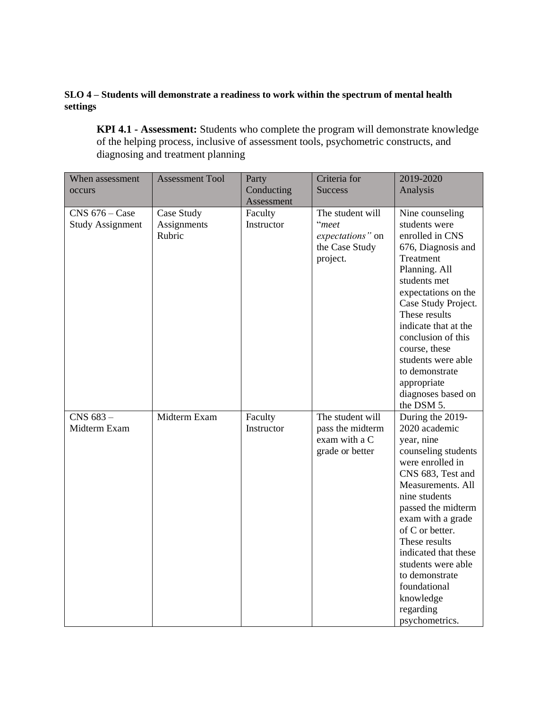### **SLO 4 – Students will demonstrate a readiness to work within the spectrum of mental health settings**

**KPI 4.1 - Assessment:** Students who complete the program will demonstrate knowledge of the helping process, inclusive of assessment tools, psychometric constructs, and diagnosing and treatment planning

| When assessment                             | <b>Assessment Tool</b>              | Party                 | Criteria for                                                                | 2019-2020                                                                                                                                                                                                                                                                                                                                                        |
|---------------------------------------------|-------------------------------------|-----------------------|-----------------------------------------------------------------------------|------------------------------------------------------------------------------------------------------------------------------------------------------------------------------------------------------------------------------------------------------------------------------------------------------------------------------------------------------------------|
| occurs                                      |                                     | Conducting            | <b>Success</b>                                                              | Analysis                                                                                                                                                                                                                                                                                                                                                         |
|                                             |                                     | Assessment            |                                                                             |                                                                                                                                                                                                                                                                                                                                                                  |
| $CNS$ 676 – Case<br><b>Study Assignment</b> | Case Study<br>Assignments<br>Rubric | Faculty<br>Instructor | The student will<br>"meet<br>expectations" on<br>the Case Study<br>project. | Nine counseling<br>students were<br>enrolled in CNS<br>676, Diagnosis and<br>Treatment<br>Planning. All<br>students met<br>expectations on the<br>Case Study Project.<br>These results<br>indicate that at the<br>conclusion of this<br>course, these<br>students were able<br>to demonstrate<br>appropriate                                                     |
|                                             |                                     |                       |                                                                             | diagnoses based on<br>the DSM 5.                                                                                                                                                                                                                                                                                                                                 |
| CNS 683-<br>Midterm Exam                    | Midterm Exam                        | Faculty<br>Instructor | The student will<br>pass the midterm<br>exam with a C<br>grade or better    | During the 2019-<br>2020 academic<br>year, nine<br>counseling students<br>were enrolled in<br>CNS 683, Test and<br>Measurements. All<br>nine students<br>passed the midterm<br>exam with a grade<br>of C or better.<br>These results<br>indicated that these<br>students were able<br>to demonstrate<br>foundational<br>knowledge<br>regarding<br>psychometrics. |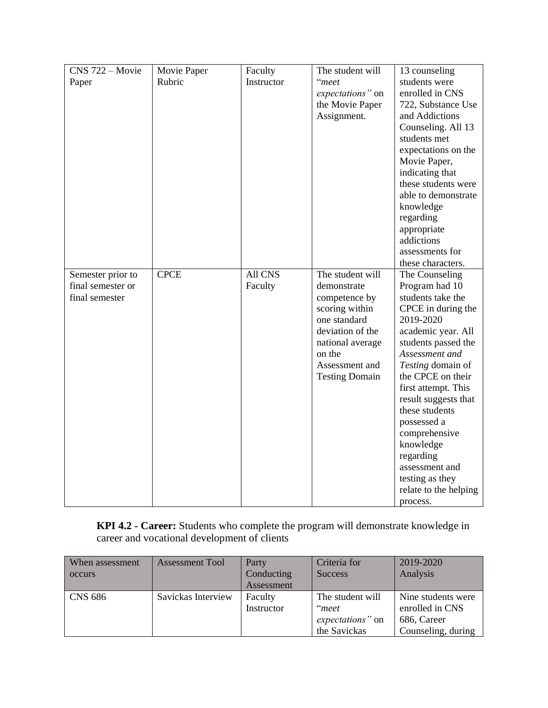| CNS 722 - Movie   | Movie Paper | Faculty    | The student will      | 13 counseling         |
|-------------------|-------------|------------|-----------------------|-----------------------|
| Paper             | Rubric      | Instructor | "meet                 | students were         |
|                   |             |            | expectations" on      | enrolled in CNS       |
|                   |             |            | the Movie Paper       | 722, Substance Use    |
|                   |             |            | Assignment.           | and Addictions        |
|                   |             |            |                       | Counseling. All 13    |
|                   |             |            |                       | students met          |
|                   |             |            |                       | expectations on the   |
|                   |             |            |                       | Movie Paper,          |
|                   |             |            |                       | indicating that       |
|                   |             |            |                       | these students were   |
|                   |             |            |                       | able to demonstrate   |
|                   |             |            |                       | knowledge             |
|                   |             |            |                       | regarding             |
|                   |             |            |                       | appropriate           |
|                   |             |            |                       | addictions            |
|                   |             |            |                       | assessments for       |
|                   |             |            |                       | these characters.     |
| Semester prior to | <b>CPCE</b> | All CNS    | The student will      | The Counseling        |
| final semester or |             | Faculty    | demonstrate           | Program had 10        |
| final semester    |             |            | competence by         | students take the     |
|                   |             |            | scoring within        | CPCE in during the    |
|                   |             |            | one standard          | 2019-2020             |
|                   |             |            | deviation of the      | academic year. All    |
|                   |             |            | national average      | students passed the   |
|                   |             |            | on the                | Assessment and        |
|                   |             |            | Assessment and        | Testing domain of     |
|                   |             |            | <b>Testing Domain</b> | the CPCE on their     |
|                   |             |            |                       | first attempt. This   |
|                   |             |            |                       | result suggests that  |
|                   |             |            |                       | these students        |
|                   |             |            |                       | possessed a           |
|                   |             |            |                       | comprehensive         |
|                   |             |            |                       | knowledge             |
|                   |             |            |                       | regarding             |
|                   |             |            |                       | assessment and        |
|                   |             |            |                       | testing as they       |
|                   |             |            |                       | relate to the helping |
|                   |             |            |                       | process.              |

**KPI 4.2 - Career:** Students who complete the program will demonstrate knowledge in career and vocational development of clients

| When assessment | <b>Assessment Tool</b> | Party      | Criteria for     | 2019-2020          |
|-----------------|------------------------|------------|------------------|--------------------|
| occurs          |                        | Conducting | <b>Success</b>   | Analysis           |
|                 |                        | Assessment |                  |                    |
| <b>CNS 686</b>  | Savickas Interview     | Faculty    | The student will | Nine students were |
|                 |                        | Instructor | "meet            | enrolled in CNS    |
|                 |                        |            | expectations" on | 686, Career        |
|                 |                        |            | the Savickas     | Counseling, during |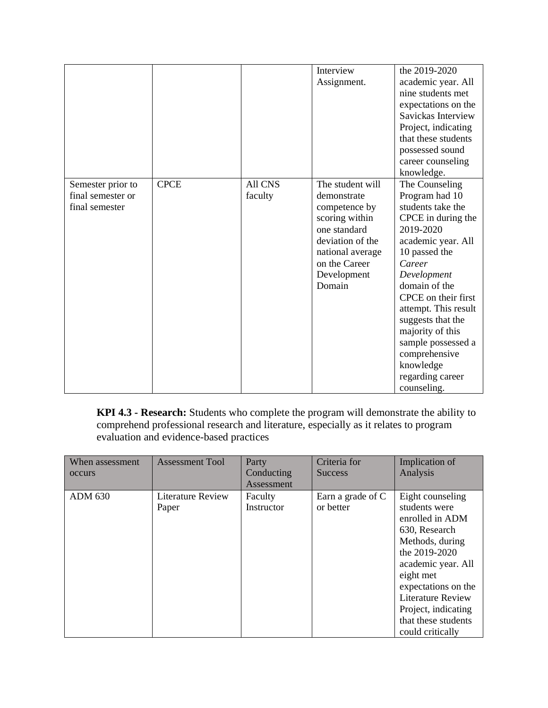|                   |             |         | Interview        | the 2019-2020        |
|-------------------|-------------|---------|------------------|----------------------|
|                   |             |         | Assignment.      | academic year. All   |
|                   |             |         |                  | nine students met    |
|                   |             |         |                  | expectations on the  |
|                   |             |         |                  | Savickas Interview   |
|                   |             |         |                  | Project, indicating  |
|                   |             |         |                  | that these students  |
|                   |             |         |                  | possessed sound      |
|                   |             |         |                  | career counseling    |
|                   |             |         |                  | knowledge.           |
| Semester prior to | <b>CPCE</b> | All CNS | The student will | The Counseling       |
| final semester or |             | faculty | demonstrate      | Program had 10       |
| final semester    |             |         | competence by    | students take the    |
|                   |             |         | scoring within   | CPCE in during the   |
|                   |             |         | one standard     | 2019-2020            |
|                   |             |         | deviation of the | academic year. All   |
|                   |             |         | national average | 10 passed the        |
|                   |             |         | on the Career    | Career               |
|                   |             |         | Development      | Development          |
|                   |             |         | Domain           | domain of the        |
|                   |             |         |                  | CPCE on their first  |
|                   |             |         |                  | attempt. This result |
|                   |             |         |                  | suggests that the    |
|                   |             |         |                  | majority of this     |
|                   |             |         |                  | sample possessed a   |
|                   |             |         |                  | comprehensive        |
|                   |             |         |                  | knowledge            |
|                   |             |         |                  | regarding career     |
|                   |             |         |                  | counseling.          |

**KPI 4.3 - Research:** Students who complete the program will demonstrate the ability to comprehend professional research and literature, especially as it relates to program evaluation and evidence-based practices

| When assessment<br>occurs | <b>Assessment Tool</b>            | Party<br>Conducting<br>Assessment | Criteria for<br><b>Success</b> | Implication of<br>Analysis                                                                                                                                                                                                                                        |
|---------------------------|-----------------------------------|-----------------------------------|--------------------------------|-------------------------------------------------------------------------------------------------------------------------------------------------------------------------------------------------------------------------------------------------------------------|
| <b>ADM 630</b>            | <b>Literature Review</b><br>Paper | Faculty<br>Instructor             | Earn a grade of C<br>or better | Eight counseling<br>students were<br>enrolled in ADM<br>630, Research<br>Methods, during<br>the 2019-2020<br>academic year. All<br>eight met<br>expectations on the<br><b>Literature Review</b><br>Project, indicating<br>that these students<br>could critically |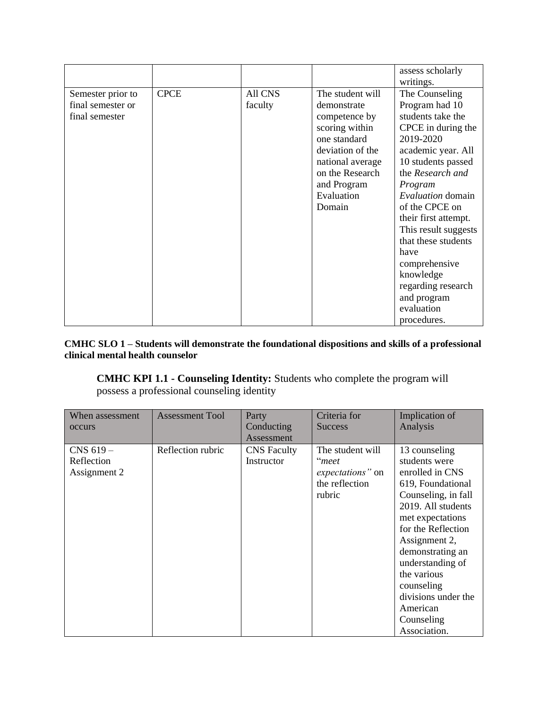|                                                          |             |                    |                                                                                                                                                                                      | assess scholarly<br>writings.                                                                                                                                                                                                                                                                                                                                                             |
|----------------------------------------------------------|-------------|--------------------|--------------------------------------------------------------------------------------------------------------------------------------------------------------------------------------|-------------------------------------------------------------------------------------------------------------------------------------------------------------------------------------------------------------------------------------------------------------------------------------------------------------------------------------------------------------------------------------------|
| Semester prior to<br>final semester or<br>final semester | <b>CPCE</b> | All CNS<br>faculty | The student will<br>demonstrate<br>competence by<br>scoring within<br>one standard<br>deviation of the<br>national average<br>on the Research<br>and Program<br>Evaluation<br>Domain | The Counseling<br>Program had 10<br>students take the<br>CPCE in during the<br>2019-2020<br>academic year. All<br>10 students passed<br>the Research and<br>Program<br>Evaluation domain<br>of the CPCE on<br>their first attempt.<br>This result suggests<br>that these students<br>have<br>comprehensive<br>knowledge<br>regarding research<br>and program<br>evaluation<br>procedures. |

### **CMHC SLO 1 – Students will demonstrate the foundational dispositions and skills of a professional clinical mental health counselor**

**CMHC KPI 1.1 - Counseling Identity:** Students who complete the program will possess a professional counseling identity

| When assessment<br>occurs                   | <b>Assessment Tool</b> | Party<br>Conducting<br>Assessment | Criteria for<br><b>Success</b>                                            | Implication of<br>Analysis                                                                                                                                                                                                                                                                                           |
|---------------------------------------------|------------------------|-----------------------------------|---------------------------------------------------------------------------|----------------------------------------------------------------------------------------------------------------------------------------------------------------------------------------------------------------------------------------------------------------------------------------------------------------------|
| $CNS$ 619 $-$<br>Reflection<br>Assignment 2 | Reflection rubric      | <b>CNS</b> Faculty<br>Instructor  | The student will<br>"meet<br>expectations" on<br>the reflection<br>rubric | 13 counseling<br>students were<br>enrolled in CNS<br>619, Foundational<br>Counseling, in fall<br>2019. All students<br>met expectations<br>for the Reflection<br>Assignment 2,<br>demonstrating an<br>understanding of<br>the various<br>counseling<br>divisions under the<br>American<br>Counseling<br>Association. |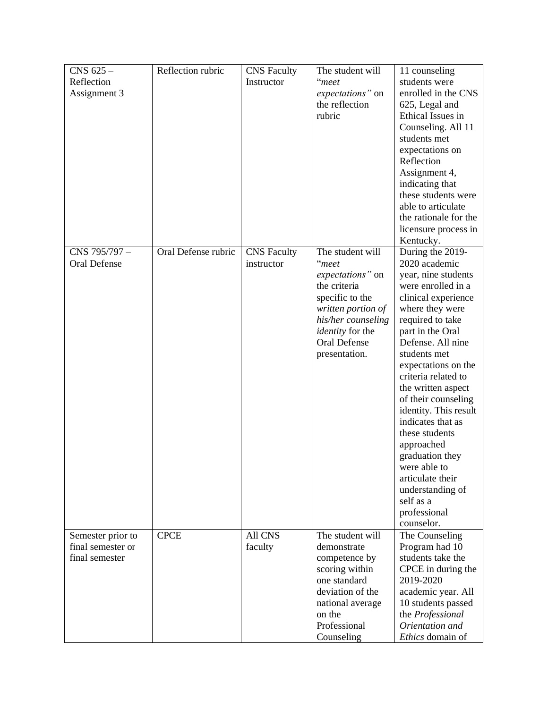| $CNS$ 625 $-$       | Reflection rubric   | <b>CNS</b> Faculty | The student will        | 11 counseling         |
|---------------------|---------------------|--------------------|-------------------------|-----------------------|
| Reflection          |                     | Instructor         | "meet                   | students were         |
| Assignment 3        |                     |                    | expectations" on        | enrolled in the CNS   |
|                     |                     |                    | the reflection          | 625, Legal and        |
|                     |                     |                    | rubric                  | Ethical Issues in     |
|                     |                     |                    |                         | Counseling. All 11    |
|                     |                     |                    |                         | students met          |
|                     |                     |                    |                         | expectations on       |
|                     |                     |                    |                         | Reflection            |
|                     |                     |                    |                         | Assignment 4,         |
|                     |                     |                    |                         | indicating that       |
|                     |                     |                    |                         | these students were   |
|                     |                     |                    |                         | able to articulate    |
|                     |                     |                    |                         | the rationale for the |
|                     |                     |                    |                         | licensure process in  |
|                     |                     |                    |                         | Kentucky.             |
| CNS 795/797-        | Oral Defense rubric | <b>CNS</b> Faculty | The student will        | During the 2019-      |
| <b>Oral Defense</b> |                     | instructor         | "meet                   | 2020 academic         |
|                     |                     |                    | expectations" on        | year, nine students   |
|                     |                     |                    | the criteria            | were enrolled in a    |
|                     |                     |                    | specific to the         | clinical experience   |
|                     |                     |                    | written portion of      | where they were       |
|                     |                     |                    | his/her counseling      | required to take      |
|                     |                     |                    | <i>identity</i> for the | part in the Oral      |
|                     |                     |                    | Oral Defense            | Defense. All nine     |
|                     |                     |                    | presentation.           | students met          |
|                     |                     |                    |                         | expectations on the   |
|                     |                     |                    |                         | criteria related to   |
|                     |                     |                    |                         | the written aspect    |
|                     |                     |                    |                         | of their counseling   |
|                     |                     |                    |                         | identity. This result |
|                     |                     |                    |                         | indicates that as     |
|                     |                     |                    |                         | these students        |
|                     |                     |                    |                         | approached            |
|                     |                     |                    |                         | graduation they       |
|                     |                     |                    |                         | were able to          |
|                     |                     |                    |                         | articulate their      |
|                     |                     |                    |                         | understanding of      |
|                     |                     |                    |                         | self as a             |
|                     |                     |                    |                         | professional          |
|                     |                     |                    |                         | counselor.            |
| Semester prior to   | <b>CPCE</b>         | All CNS            | The student will        | The Counseling        |
| final semester or   |                     | faculty            | demonstrate             | Program had 10        |
| final semester      |                     |                    | competence by           | students take the     |
|                     |                     |                    | scoring within          | CPCE in during the    |
|                     |                     |                    | one standard            | 2019-2020             |
|                     |                     |                    | deviation of the        | academic year. All    |
|                     |                     |                    | national average        | 10 students passed    |
|                     |                     |                    | on the                  | the Professional      |
|                     |                     |                    | Professional            | Orientation and       |
|                     |                     |                    | Counseling              | Ethics domain of      |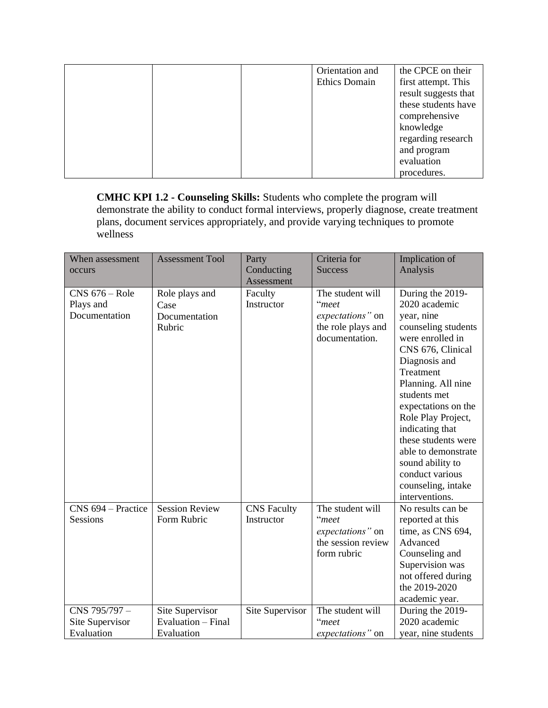|  | Orientation and<br><b>Ethics Domain</b> | the CPCE on their<br>first attempt. This<br>result suggests that<br>these students have<br>comprehensive<br>knowledge<br>regarding research |
|--|-----------------------------------------|---------------------------------------------------------------------------------------------------------------------------------------------|
|  |                                         | and program                                                                                                                                 |
|  |                                         | evaluation<br>procedures.                                                                                                                   |

**CMHC KPI 1.2 - Counseling Skills:** Students who complete the program will demonstrate the ability to conduct formal interviews, properly diagnose, create treatment plans, document services appropriately, and provide varying techniques to promote wellness

| When assessment<br>occurs                      | <b>Assessment Tool</b>                              | Party<br>Conducting<br>Assessment | Criteria for<br><b>Success</b>                                                        | Implication of<br>Analysis                                                                                                                                                                                |
|------------------------------------------------|-----------------------------------------------------|-----------------------------------|---------------------------------------------------------------------------------------|-----------------------------------------------------------------------------------------------------------------------------------------------------------------------------------------------------------|
| $CNS$ 676 – Role<br>Plays and<br>Documentation | Role plays and<br>Case<br>Documentation<br>Rubric   | Faculty<br>Instructor             | The student will<br>"meet<br>expectations" on<br>the role plays and<br>documentation. | During the 2019-<br>2020 academic<br>year, nine<br>counseling students<br>were enrolled in<br>CNS 676, Clinical<br>Diagnosis and<br>Treatment<br>Planning. All nine                                       |
|                                                |                                                     |                                   |                                                                                       | students met<br>expectations on the<br>Role Play Project,<br>indicating that<br>these students were<br>able to demonstrate<br>sound ability to<br>conduct various<br>counseling, intake<br>interventions. |
| CNS 694 – Practice<br><b>Sessions</b>          | <b>Session Review</b><br>Form Rubric                | <b>CNS</b> Faculty<br>Instructor  | The student will<br>"meet<br>expectations" on<br>the session review<br>form rubric    | No results can be<br>reported at this<br>time, as CNS 694,<br>Advanced<br>Counseling and<br>Supervision was<br>not offered during<br>the 2019-2020<br>academic year.                                      |
| CNS 795/797-<br>Site Supervisor<br>Evaluation  | Site Supervisor<br>Evaluation - Final<br>Evaluation | Site Supervisor                   | The student will<br>"meet<br>expectations" on                                         | During the 2019-<br>2020 academic<br>year, nine students                                                                                                                                                  |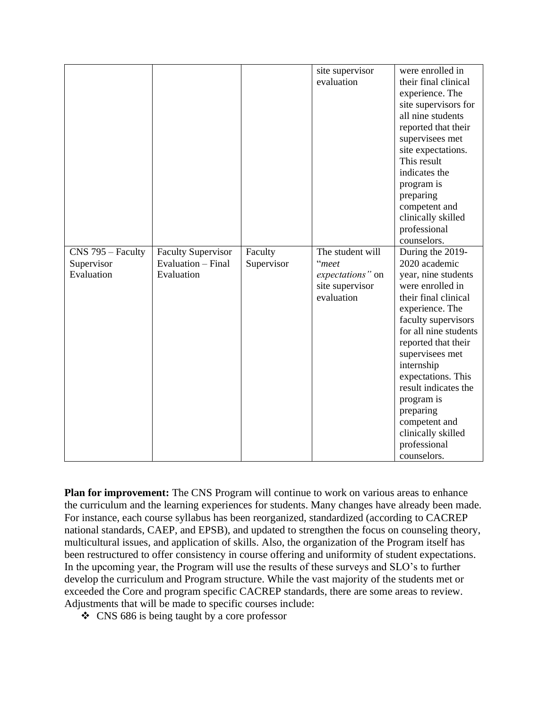|                   |                           |            |                  | were enrolled in      |
|-------------------|---------------------------|------------|------------------|-----------------------|
|                   |                           |            | site supervisor  |                       |
|                   |                           |            | evaluation       | their final clinical  |
|                   |                           |            |                  | experience. The       |
|                   |                           |            |                  | site supervisors for  |
|                   |                           |            |                  | all nine students     |
|                   |                           |            |                  | reported that their   |
|                   |                           |            |                  | supervisees met       |
|                   |                           |            |                  | site expectations.    |
|                   |                           |            |                  | This result           |
|                   |                           |            |                  | indicates the         |
|                   |                           |            |                  | program is            |
|                   |                           |            |                  | preparing             |
|                   |                           |            |                  | competent and         |
|                   |                           |            |                  | clinically skilled    |
|                   |                           |            |                  | professional          |
|                   |                           |            |                  | counselors.           |
| CNS 795 - Faculty | <b>Faculty Supervisor</b> | Faculty    | The student will | During the 2019-      |
| Supervisor        | Evaluation – Final        | Supervisor | "meet            | 2020 academic         |
| Evaluation        | Evaluation                |            | expectations" on | year, nine students   |
|                   |                           |            | site supervisor  | were enrolled in      |
|                   |                           |            | evaluation       | their final clinical  |
|                   |                           |            |                  | experience. The       |
|                   |                           |            |                  | faculty supervisors   |
|                   |                           |            |                  | for all nine students |
|                   |                           |            |                  | reported that their   |
|                   |                           |            |                  | supervisees met       |
|                   |                           |            |                  | internship            |
|                   |                           |            |                  | expectations. This    |
|                   |                           |            |                  | result indicates the  |
|                   |                           |            |                  | program is            |
|                   |                           |            |                  | preparing             |
|                   |                           |            |                  | competent and         |
|                   |                           |            |                  | clinically skilled    |
|                   |                           |            |                  | professional          |
|                   |                           |            |                  | counselors.           |

**Plan for improvement:** The CNS Program will continue to work on various areas to enhance the curriculum and the learning experiences for students. Many changes have already been made. For instance, each course syllabus has been reorganized, standardized (according to CACREP national standards, CAEP, and EPSB), and updated to strengthen the focus on counseling theory, multicultural issues, and application of skills. Also, the organization of the Program itself has been restructured to offer consistency in course offering and uniformity of student expectations. In the upcoming year, the Program will use the results of these surveys and SLO's to further develop the curriculum and Program structure. While the vast majority of the students met or exceeded the Core and program specific CACREP standards, there are some areas to review. Adjustments that will be made to specific courses include:

❖ CNS 686 is being taught by a core professor